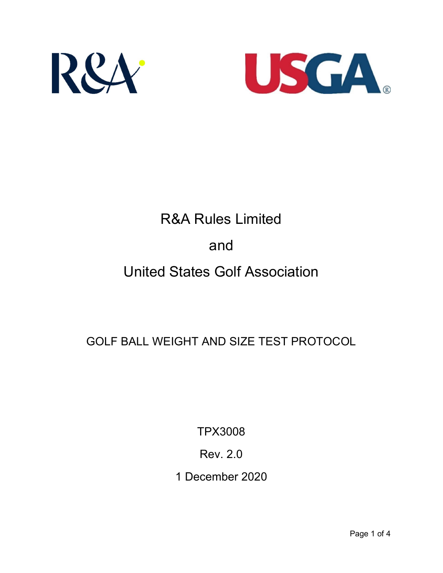



# R&A Rules Limited and United States Golf Association

GOLF BALL WEIGHT AND SIZE TEST PROTOCOL

TPX3008

Rev. 2.0

1 December 2020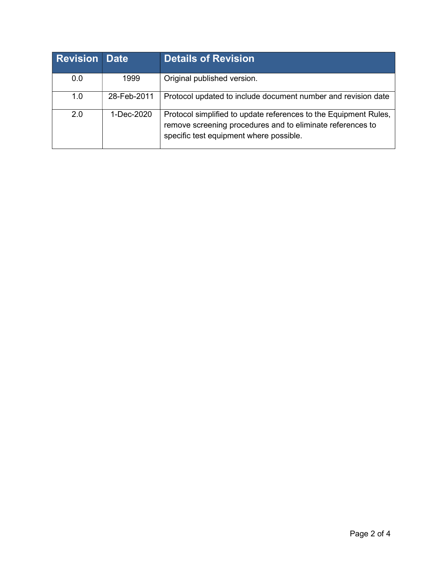| <b>Revision Date</b> |             | <b>Details of Revision</b>                                                                                                                                                |
|----------------------|-------------|---------------------------------------------------------------------------------------------------------------------------------------------------------------------------|
| 0.0                  | 1999        | Original published version.                                                                                                                                               |
| 1.0                  | 28-Feb-2011 | Protocol updated to include document number and revision date                                                                                                             |
| 2.0                  | 1-Dec-2020  | Protocol simplified to update references to the Equipment Rules,<br>remove screening procedures and to eliminate references to<br>specific test equipment where possible. |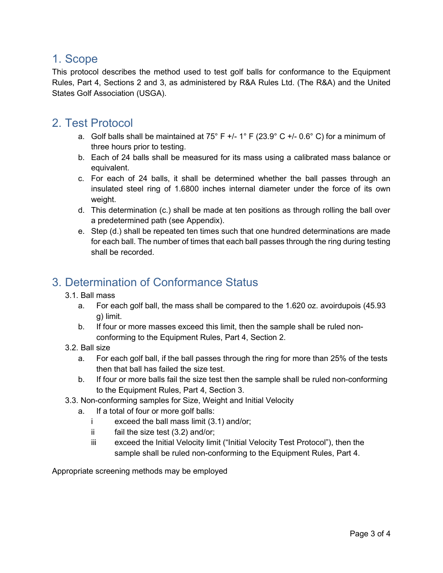#### 1. Scope

This protocol describes the method used to test golf balls for conformance to the Equipment Rules, Part 4, Sections 2 and 3, as administered by R&A Rules Ltd. (The R&A) and the United States Golf Association (USGA).

## 2. Test Protocol

- a. Golf balls shall be maintained at 75° F +/- 1° F (23.9° C +/- 0.6° C) for a minimum of three hours prior to testing.
- b. Each of 24 balls shall be measured for its mass using a calibrated mass balance or equivalent.
- c. For each of 24 balls, it shall be determined whether the ball passes through an insulated steel ring of 1.6800 inches internal diameter under the force of its own weight.
- d. This determination (c.) shall be made at ten positions as through rolling the ball over a predetermined path (see Appendix).
- e. Step (d.) shall be repeated ten times such that one hundred determinations are made for each ball. The number of times that each ball passes through the ring during testing shall be recorded.

### 3. Determination of Conformance Status

- 3.1. Ball mass
	- a. For each golf ball, the mass shall be compared to the 1.620 oz. avoirdupois (45.93 g) limit.
	- b. If four or more masses exceed this limit, then the sample shall be ruled nonconforming to the Equipment Rules, Part 4, Section 2.
- 3.2. Ball size
	- a. For each golf ball, if the ball passes through the ring for more than 25% of the tests then that ball has failed the size test.
	- b. If four or more balls fail the size test then the sample shall be ruled non-conforming to the Equipment Rules, Part 4, Section 3.
- 3.3. Non-conforming samples for Size, Weight and Initial Velocity
	- a. If a total of four or more golf balls:
		- i exceed the ball mass limit (3.1) and/or;
		- ii fail the size test (3.2) and/or;
		- iii exceed the Initial Velocity limit ("Initial Velocity Test Protocol"), then the sample shall be ruled non-conforming to the Equipment Rules, Part 4.

Appropriate screening methods may be employed